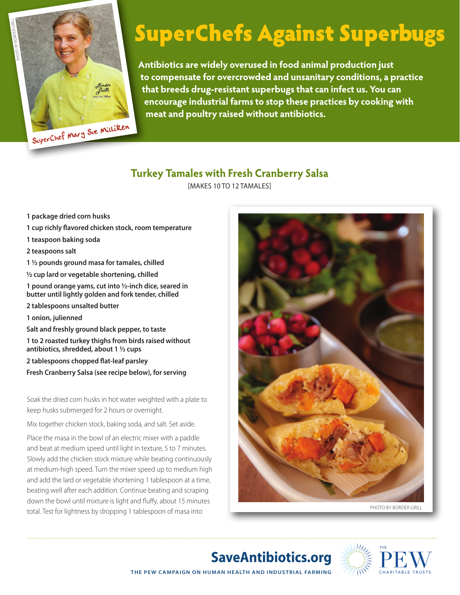

## SuperChefs Against Superbugs

**Antibiotics are widely overused in food animal production just to compensate for overcrowded and unsanitary conditions, a practice that breeds drug-resistant superbugs that can infect us. You can encourage industrial farms to stop these practices by cooking with meat and poultry raised without antibiotics.**

## **Turkey Tamales with Fresh Cranberry Salsa**

[Makes 10 to 12 tamales]

- **1 package dried corn husks**
- **1 cup richly flavored chicken stock, room temperature**
- **1 teaspoon baking soda**
- **2 teaspoons salt**
- **1 ½ pounds ground masa for tamales, chilled**
- **½ cup lard or vegetable shortening, chilled**
- **1 pound orange yams, cut into ½-inch dice, seared in butter until lightly golden and fork tender, chilled**
- **2 tablespoons unsalted butter**
- **1 onion, julienned**
- **Salt and freshly ground black pepper, to taste**

**1 to 2 roasted turkey thighs from birds raised without antibiotics, shredded, about 1 ½ cups** 

- **2 tablespoons chopped flat-leaf parsley**
- **Fresh Cranberry Salsa (see recipe below), for serving**

Soak the dried corn husks in hot water weighted with a plate to keep husks submerged for 2 hours or overnight.

Mix together chicken stock, baking soda, and salt. Set aside.

Place the masa in the bowl of an electric mixer with a paddle and beat at medium speed until light in texture, 5 to 7 minutes. Slowly add the chicken stock mixture while beating continuously at medium-high speed. Turn the mixer speed up to medium high and add the lard or vegetable shortening 1 tablespoon at a time, beating well after each addition. Continue beating and scraping down the bowl until mixture is light and fluffy, about 15 minutes total. Test for lightness by dropping 1 tablespoon of masa into





**THE PEW CAMPAIGN ON HUMAN HEALTH AND INDUSTRIAL FARMING SaveAntibiotics.org**